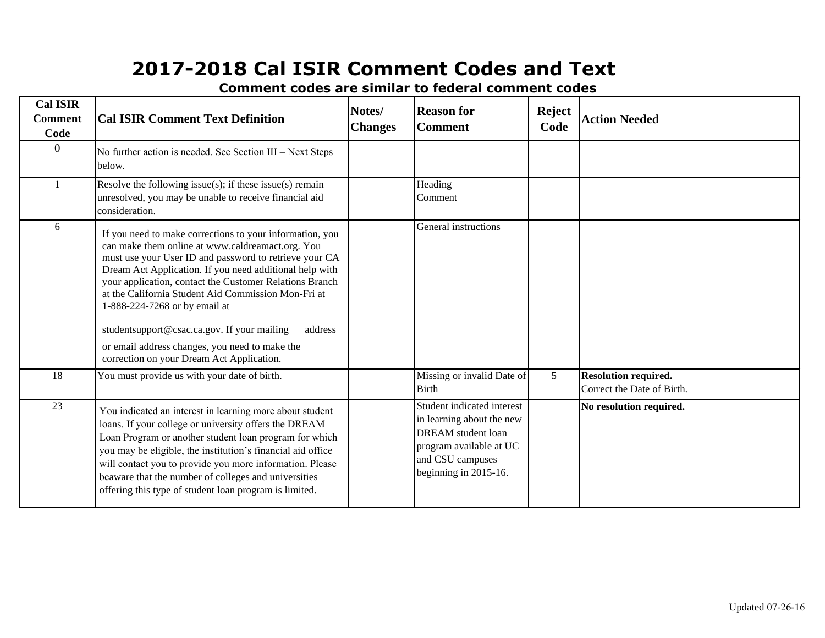| <b>Cal ISIR</b><br><b>Comment</b><br>Code | <b>Cal ISIR Comment Text Definition</b>                                                                                                                                                                                                                                                                                                                                                                                                                                                                                                       | Notes/<br><b>Changes</b> | <b>Reason for</b><br><b>Comment</b>                                                                                                                          | <b>Reject</b><br>Code | <b>Action Needed</b>                                      |
|-------------------------------------------|-----------------------------------------------------------------------------------------------------------------------------------------------------------------------------------------------------------------------------------------------------------------------------------------------------------------------------------------------------------------------------------------------------------------------------------------------------------------------------------------------------------------------------------------------|--------------------------|--------------------------------------------------------------------------------------------------------------------------------------------------------------|-----------------------|-----------------------------------------------------------|
| $\mathbf{0}$                              | No further action is needed. See Section III – Next Steps<br>below.                                                                                                                                                                                                                                                                                                                                                                                                                                                                           |                          |                                                                                                                                                              |                       |                                                           |
|                                           | Resolve the following issue(s); if these issue(s) remain<br>unresolved, you may be unable to receive financial aid<br>consideration.                                                                                                                                                                                                                                                                                                                                                                                                          |                          | Heading<br>Comment                                                                                                                                           |                       |                                                           |
| 6                                         | If you need to make corrections to your information, you<br>can make them online at www.caldreamact.org. You<br>must use your User ID and password to retrieve your CA<br>Dream Act Application. If you need additional help with<br>your application, contact the Customer Relations Branch<br>at the California Student Aid Commission Mon-Fri at<br>1-888-224-7268 or by email at<br>studentsupport@csac.ca.gov. If your mailing<br>address<br>or email address changes, you need to make the<br>correction on your Dream Act Application. |                          | General instructions                                                                                                                                         |                       |                                                           |
| 18                                        | You must provide us with your date of birth.                                                                                                                                                                                                                                                                                                                                                                                                                                                                                                  |                          | Missing or invalid Date of<br><b>Birth</b>                                                                                                                   | 5                     | <b>Resolution required.</b><br>Correct the Date of Birth. |
| 23                                        | You indicated an interest in learning more about student<br>loans. If your college or university offers the DREAM<br>Loan Program or another student loan program for which<br>you may be eligible, the institution's financial aid office<br>will contact you to provide you more information. Please<br>beaware that the number of colleges and universities<br>offering this type of student loan program is limited.                                                                                                                      |                          | Student indicated interest<br>in learning about the new<br><b>DREAM</b> student loan<br>program available at UC<br>and CSU campuses<br>beginning in 2015-16. |                       | No resolution required.                                   |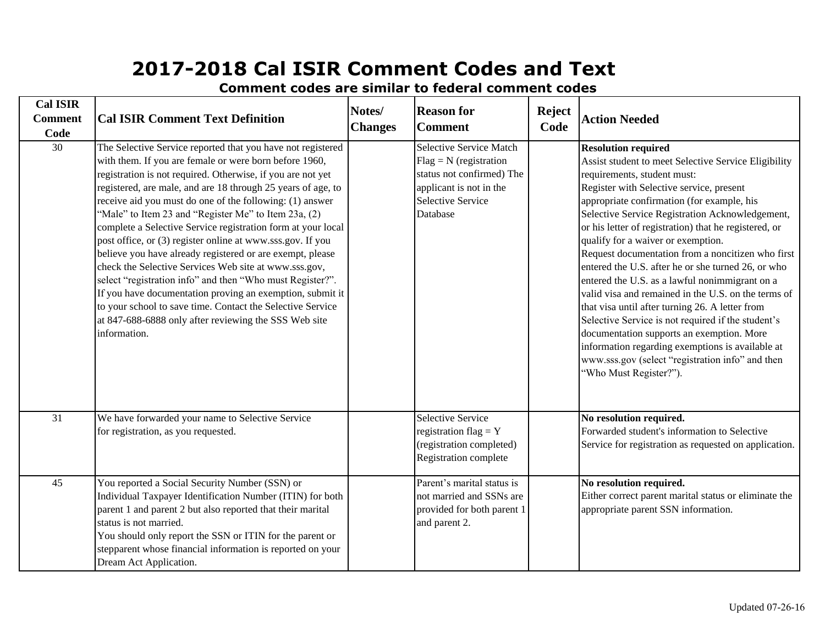**Cal ISIR Comment Code Notes/ Changes Reason for Comment Reject Code Action Needed** 30 The Selective Service reported that you have not registered Selective Service Match  $Flag = N$  (registration status not confirmed) The applicant is not in the Selective Service Database **Resolution required** Assist student to meet Selective Service Eligibility requirements, student must: Register with Selective service, present appropriate confirmation (for example, his Selective Service Registration Acknowledgement, or his letter of registration) that he registered, or qualify for a waiver or exemption. Request documentation from a noncitizen who first entered the U.S. after he or she turned 26, or who entered the U.S. as a lawful nonimmigrant on a valid visa and remained in the U.S. on the terms of that visa until after turning 26. A letter from Selective Service is not required if the student's documentation supports an exemption. More information regarding exemptions is available at www.sss.gov (select "registration info" and then "Who Must Register?"). 31 Selective Service We have forwarded your name to Selective Service registration flag  $= Y$ (registration completed) Registration complete **No resolution required.** Forwarded student's information to Selective Service for registration as requested on application. 45 Parent's marital status is You reported a Social Security Number (SSN) or not married and SSNs are provided for both parent 1 and parent 2. **No resolution required.** Either correct parent marital status or eliminate the appropriate parent SSN information. Individual Taxpayer Identification Number (ITIN) for both parent 1 and parent 2 but also reported that their marital status is not married. You should only report the SSN or ITIN for the parent or stepparent whose financial information is reported on your Dream Act Application. for registration, as you requested. with them. If you are female or were born before 1960, registration is not required. Otherwise, if you are not yet registered, are male, and are 18 through 25 years of age, to receive aid you must do one of the following: (1) answer "Male" to Item 23 and "Register Me" to Item 23a, (2) complete a Selective Service registration form at your local post office, or (3) register online at www.sss.gov. If you believe you have already registered or are exempt, please check the Selective Services Web site at www.sss.gov, select "registration info" and then "Who must Register?". If you have documentation proving an exemption, submit it to your school to save time. Contact the Selective Service at 847-688-6888 only after reviewing the SSS Web site information. **Cal ISIR Comment Text Definition**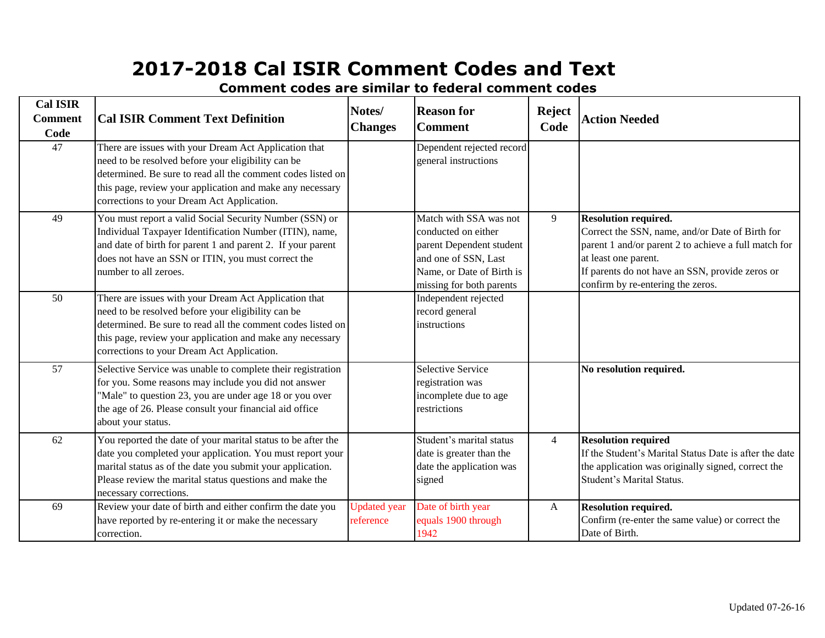| <b>Cal ISIR</b><br><b>Comment</b><br>Code | <b>Cal ISIR Comment Text Definition</b>                                                                                                                                                                                                                                               | Notes/<br><b>Changes</b>         | <b>Reason for</b><br><b>Comment</b>                                                                                                                        | <b>Reject</b><br>Code | <b>Action Needed</b>                                                                                                                                                                                                                                   |
|-------------------------------------------|---------------------------------------------------------------------------------------------------------------------------------------------------------------------------------------------------------------------------------------------------------------------------------------|----------------------------------|------------------------------------------------------------------------------------------------------------------------------------------------------------|-----------------------|--------------------------------------------------------------------------------------------------------------------------------------------------------------------------------------------------------------------------------------------------------|
| 47                                        | There are issues with your Dream Act Application that<br>need to be resolved before your eligibility can be<br>determined. Be sure to read all the comment codes listed on<br>this page, review your application and make any necessary<br>corrections to your Dream Act Application. |                                  | Dependent rejected record<br>general instructions                                                                                                          |                       |                                                                                                                                                                                                                                                        |
| 49                                        | You must report a valid Social Security Number (SSN) or<br>Individual Taxpayer Identification Number (ITIN), name,<br>and date of birth for parent 1 and parent 2. If your parent<br>does not have an SSN or ITIN, you must correct the<br>number to all zeroes.                      |                                  | Match with SSA was not<br>conducted on either<br>parent Dependent student<br>and one of SSN, Last<br>Name, or Date of Birth is<br>missing for both parents | 9                     | <b>Resolution required.</b><br>Correct the SSN, name, and/or Date of Birth for<br>parent 1 and/or parent 2 to achieve a full match for<br>at least one parent.<br>If parents do not have an SSN, provide zeros or<br>confirm by re-entering the zeros. |
| 50                                        | There are issues with your Dream Act Application that<br>need to be resolved before your eligibility can be<br>determined. Be sure to read all the comment codes listed on<br>this page, review your application and make any necessary<br>corrections to your Dream Act Application. |                                  | Independent rejected<br>record general<br>instructions                                                                                                     |                       |                                                                                                                                                                                                                                                        |
| 57                                        | Selective Service was unable to complete their registration<br>for you. Some reasons may include you did not answer<br>"Male" to question 23, you are under age 18 or you over<br>the age of 26. Please consult your financial aid office<br>about your status.                       |                                  | Selective Service<br>registration was<br>incomplete due to age<br>restrictions                                                                             |                       | No resolution required.                                                                                                                                                                                                                                |
| 62                                        | You reported the date of your marital status to be after the<br>date you completed your application. You must report your<br>marital status as of the date you submit your application.<br>Please review the marital status questions and make the<br>necessary corrections.          |                                  | Student's marital status<br>date is greater than the<br>date the application was<br>signed                                                                 | $\overline{4}$        | <b>Resolution required</b><br>If the Student's Marital Status Date is after the date<br>the application was originally signed, correct the<br>Student's Marital Status.                                                                                |
| 69                                        | Review your date of birth and either confirm the date you<br>have reported by re-entering it or make the necessary<br>correction.                                                                                                                                                     | <b>Updated</b> year<br>reference | Date of birth year<br>equals 1900 through<br>1942                                                                                                          | $\mathbf{A}$          | <b>Resolution required.</b><br>Confirm (re-enter the same value) or correct the<br>Date of Birth.                                                                                                                                                      |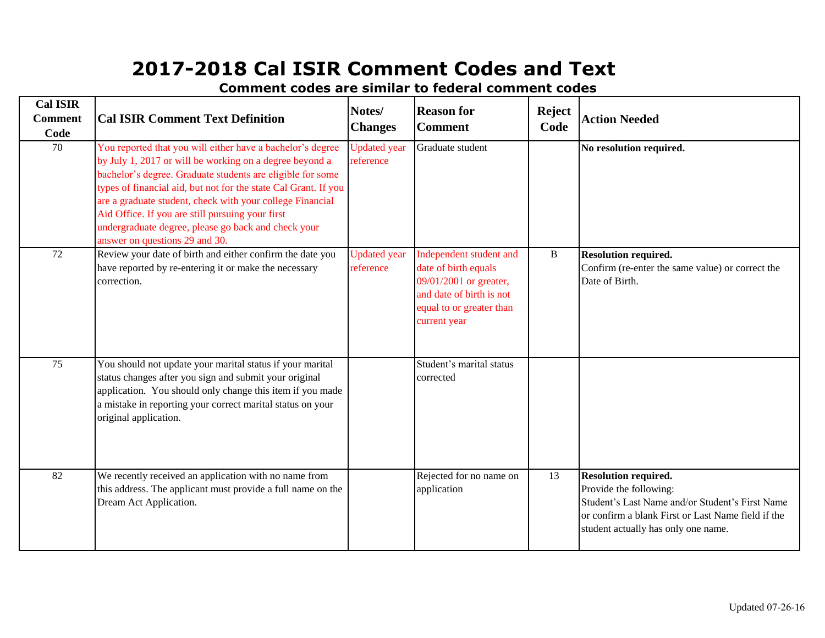| <b>Cal ISIR</b><br><b>Comment</b><br>Code | <b>Cal ISIR Comment Text Definition</b>                                                                                                                                                                                                                                                                                                                                                                                                                          | Notes/<br><b>Changes</b>         | <b>Reason for</b><br><b>Comment</b>                                                                                                               | <b>Reject</b><br>Code | <b>Action Needed</b>                                                                                                                                                                                  |
|-------------------------------------------|------------------------------------------------------------------------------------------------------------------------------------------------------------------------------------------------------------------------------------------------------------------------------------------------------------------------------------------------------------------------------------------------------------------------------------------------------------------|----------------------------------|---------------------------------------------------------------------------------------------------------------------------------------------------|-----------------------|-------------------------------------------------------------------------------------------------------------------------------------------------------------------------------------------------------|
| 70                                        | You reported that you will either have a bachelor's degree<br>by July 1, 2017 or will be working on a degree beyond a<br>bachelor's degree. Graduate students are eligible for some<br>types of financial aid, but not for the state Cal Grant. If you<br>are a graduate student, check with your college Financial<br>Aid Office. If you are still pursuing your first<br>undergraduate degree, please go back and check your<br>answer on questions 29 and 30. | <b>Updated</b> year<br>reference | Graduate student                                                                                                                                  |                       | No resolution required.                                                                                                                                                                               |
| 72                                        | Review your date of birth and either confirm the date you<br>have reported by re-entering it or make the necessary<br>correction.                                                                                                                                                                                                                                                                                                                                | <b>Updated</b> year<br>reference | Independent student and<br>date of birth equals<br>09/01/2001 or greater,<br>and date of birth is not<br>equal to or greater than<br>current year | B                     | <b>Resolution required.</b><br>Confirm (re-enter the same value) or correct the<br>Date of Birth.                                                                                                     |
| 75                                        | You should not update your marital status if your marital<br>status changes after you sign and submit your original<br>application. You should only change this item if you made<br>a mistake in reporting your correct marital status on your<br>original application.                                                                                                                                                                                          |                                  | Student's marital status<br>corrected                                                                                                             |                       |                                                                                                                                                                                                       |
| 82                                        | We recently received an application with no name from<br>this address. The applicant must provide a full name on the<br>Dream Act Application.                                                                                                                                                                                                                                                                                                                   |                                  | Rejected for no name on<br>application                                                                                                            | 13                    | <b>Resolution required.</b><br>Provide the following:<br>Student's Last Name and/or Student's First Name<br>or confirm a blank First or Last Name field if the<br>student actually has only one name. |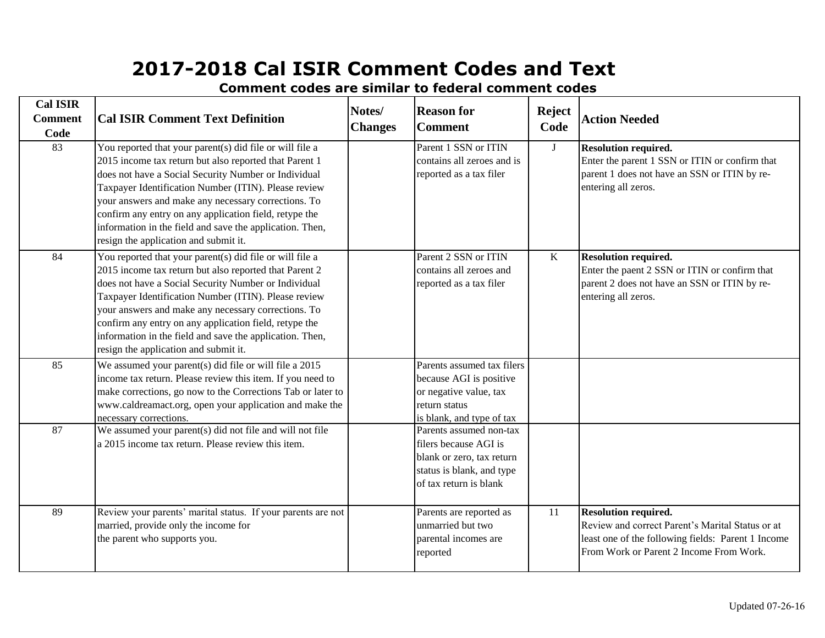| <b>Cal ISIR</b><br><b>Comment</b><br>Code | <b>Cal ISIR Comment Text Definition</b>                                                                                                                                                                                                                                                                                                                                                                                                                  | Notes/<br><b>Changes</b> | <b>Reason for</b><br><b>Comment</b>                                                                                                  | <b>Reject</b><br>Code | <b>Action Needed</b>                                                                                                                                                             |
|-------------------------------------------|----------------------------------------------------------------------------------------------------------------------------------------------------------------------------------------------------------------------------------------------------------------------------------------------------------------------------------------------------------------------------------------------------------------------------------------------------------|--------------------------|--------------------------------------------------------------------------------------------------------------------------------------|-----------------------|----------------------------------------------------------------------------------------------------------------------------------------------------------------------------------|
| 83                                        | You reported that your parent(s) did file or will file a<br>2015 income tax return but also reported that Parent 1<br>does not have a Social Security Number or Individual<br>Taxpayer Identification Number (ITIN). Please review<br>your answers and make any necessary corrections. To<br>confirm any entry on any application field, retype the<br>information in the field and save the application. Then,<br>resign the application and submit it. |                          | Parent 1 SSN or ITIN<br>contains all zeroes and is<br>reported as a tax filer                                                        | J                     | <b>Resolution required.</b><br>Enter the parent 1 SSN or ITIN or confirm that<br>parent 1 does not have an SSN or ITIN by re-<br>entering all zeros.                             |
| 84                                        | You reported that your parent(s) did file or will file a<br>2015 income tax return but also reported that Parent 2<br>does not have a Social Security Number or Individual<br>Taxpayer Identification Number (ITIN). Please review<br>your answers and make any necessary corrections. To<br>confirm any entry on any application field, retype the<br>information in the field and save the application. Then,<br>resign the application and submit it. |                          | Parent 2 SSN or ITIN<br>contains all zeroes and<br>reported as a tax filer                                                           | K                     | <b>Resolution required.</b><br>Enter the paent 2 SSN or ITIN or confirm that<br>parent 2 does not have an SSN or ITIN by re-<br>entering all zeros.                              |
| 85                                        | We assumed your parent(s) did file or will file a 2015<br>income tax return. Please review this item. If you need to<br>make corrections, go now to the Corrections Tab or later to<br>www.caldreamact.org, open your application and make the<br>necessary corrections.                                                                                                                                                                                 |                          | Parents assumed tax filers<br>because AGI is positive<br>or negative value, tax<br>return status<br>is blank, and type of tax        |                       |                                                                                                                                                                                  |
| 87                                        | We assumed your parent(s) did not file and will not file<br>a 2015 income tax return. Please review this item.                                                                                                                                                                                                                                                                                                                                           |                          | Parents assumed non-tax<br>filers because AGI is<br>blank or zero, tax return<br>status is blank, and type<br>of tax return is blank |                       |                                                                                                                                                                                  |
| 89                                        | Review your parents' marital status. If your parents are not<br>married, provide only the income for<br>the parent who supports you.                                                                                                                                                                                                                                                                                                                     |                          | Parents are reported as<br>unmarried but two<br>parental incomes are<br>reported                                                     | 11                    | <b>Resolution required.</b><br>Review and correct Parent's Marital Status or at<br>least one of the following fields: Parent 1 Income<br>From Work or Parent 2 Income From Work. |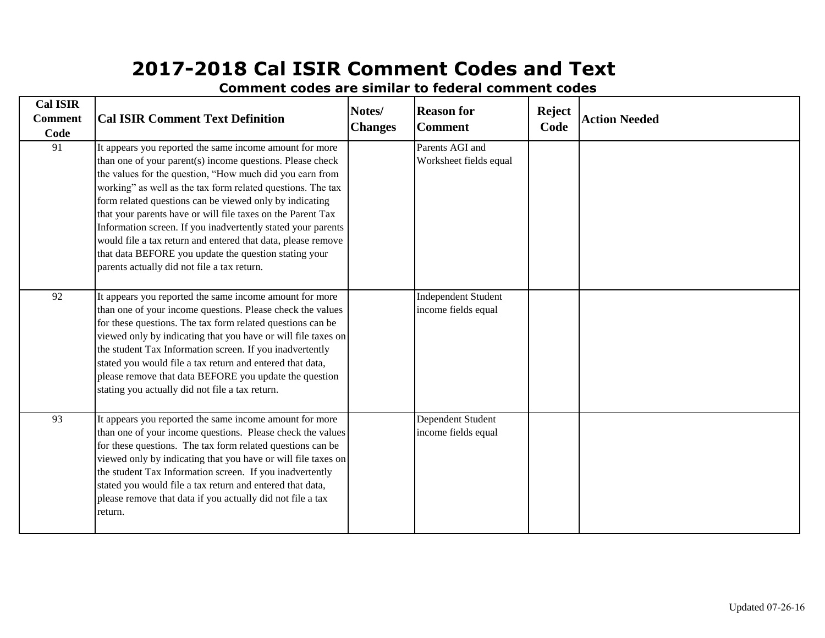**Cal ISIR Comment Code Notes/ Changes Reason for Comment Reject Code Action Needed** 91 Parents AGI and It appears you reported the same income amount for more Worksheet fields equal 92 Independent Student It appears you reported the same income amount for more income fields equal 93 Dependent Student It appears you reported the same income amount for more income fields equal **Cal ISIR Comment Text Definition** than one of your parent(s) income questions. Please check the values for the question, "How much did you earn from working" as well as the tax form related questions. The tax form related questions can be viewed only by indicating that your parents have or will file taxes on the Parent Tax Information screen. If you inadvertently stated your parents would file a tax return and entered that data, please remove that data BEFORE you update the question stating your parents actually did not file a tax return. than one of your income questions. Please check the values for these questions. The tax form related questions can be viewed only by indicating that you have or will file taxes on the student Tax Information screen. If you inadvertently stated you would file a tax return and entered that data, please remove that data BEFORE you update the question stating you actually did not file a tax return. than one of your income questions. Please check the values for these questions. The tax form related questions can be viewed only by indicating that you have or will file taxes on the student Tax Information screen. If you inadvertently stated you would file a tax return and entered that data, please remove that data if you actually did not file a tax return.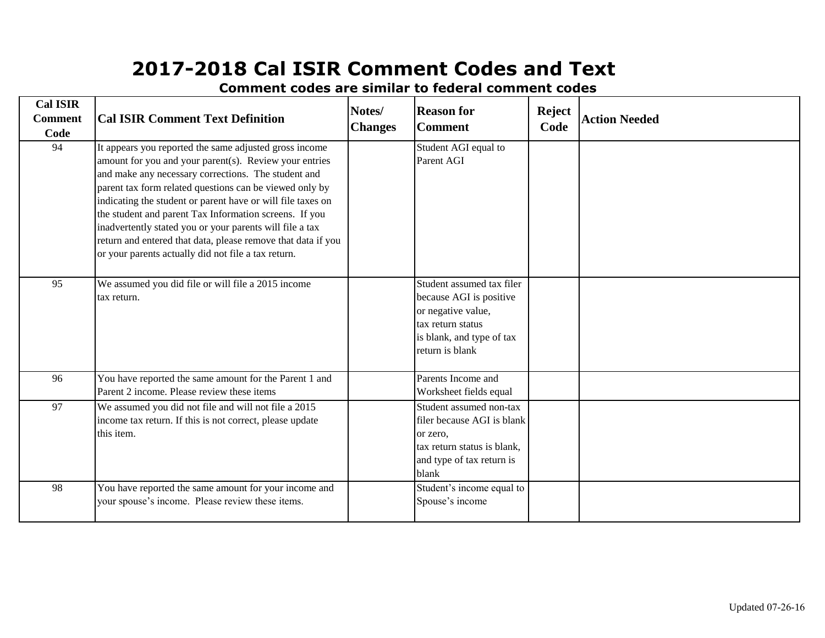| <b>Cal ISIR</b><br><b>Comment</b><br>Code | <b>Cal ISIR Comment Text Definition</b>                                                                                                                                                                                                                                                                                                                                                                                                                                                                                                        | Notes/<br><b>Changes</b> | <b>Reason for</b><br><b>Comment</b>                                                                                                             | <b>Reject</b><br>Code | <b>Action Needed</b> |
|-------------------------------------------|------------------------------------------------------------------------------------------------------------------------------------------------------------------------------------------------------------------------------------------------------------------------------------------------------------------------------------------------------------------------------------------------------------------------------------------------------------------------------------------------------------------------------------------------|--------------------------|-------------------------------------------------------------------------------------------------------------------------------------------------|-----------------------|----------------------|
| 94                                        | It appears you reported the same adjusted gross income<br>amount for you and your parent(s). Review your entries<br>and make any necessary corrections. The student and<br>parent tax form related questions can be viewed only by<br>indicating the student or parent have or will file taxes on<br>the student and parent Tax Information screens. If you<br>inadvertently stated you or your parents will file a tax<br>return and entered that data, please remove that data if you<br>or your parents actually did not file a tax return. |                          | Student AGI equal to<br>Parent AGI                                                                                                              |                       |                      |
| 95                                        | We assumed you did file or will file a 2015 income<br>tax return.                                                                                                                                                                                                                                                                                                                                                                                                                                                                              |                          | Student assumed tax filer<br>because AGI is positive<br>or negative value,<br>tax return status<br>is blank, and type of tax<br>return is blank |                       |                      |
| 96                                        | You have reported the same amount for the Parent 1 and<br>Parent 2 income. Please review these items                                                                                                                                                                                                                                                                                                                                                                                                                                           |                          | Parents Income and<br>Worksheet fields equal                                                                                                    |                       |                      |
| 97                                        | We assumed you did not file and will not file a 2015<br>income tax return. If this is not correct, please update<br>this item.                                                                                                                                                                                                                                                                                                                                                                                                                 |                          | Student assumed non-tax<br>filer because AGI is blank<br>or zero,<br>tax return status is blank,<br>and type of tax return is<br>blank          |                       |                      |
| 98                                        | You have reported the same amount for your income and<br>your spouse's income. Please review these items.                                                                                                                                                                                                                                                                                                                                                                                                                                      |                          | Student's income equal to<br>Spouse's income                                                                                                    |                       |                      |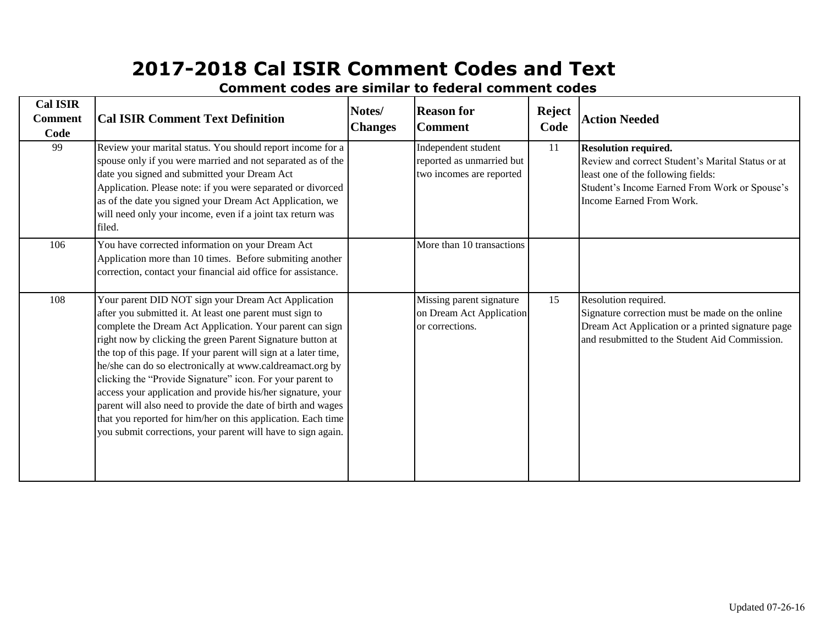| <b>Cal ISIR</b><br><b>Comment</b><br>Code | <b>Cal ISIR Comment Text Definition</b>                                                                                                                                                                                                                                                                                                                                                                                                                                                                                                                                                                                                                                                               | Notes/<br><b>Changes</b> | <b>Reason for</b><br><b>Comment</b>                                          | <b>Reject</b><br>Code | <b>Action Needed</b>                                                                                                                                                                                |
|-------------------------------------------|-------------------------------------------------------------------------------------------------------------------------------------------------------------------------------------------------------------------------------------------------------------------------------------------------------------------------------------------------------------------------------------------------------------------------------------------------------------------------------------------------------------------------------------------------------------------------------------------------------------------------------------------------------------------------------------------------------|--------------------------|------------------------------------------------------------------------------|-----------------------|-----------------------------------------------------------------------------------------------------------------------------------------------------------------------------------------------------|
| 99                                        | Review your marital status. You should report income for a<br>spouse only if you were married and not separated as of the<br>date you signed and submitted your Dream Act<br>Application. Please note: if you were separated or divorced<br>as of the date you signed your Dream Act Application, we<br>will need only your income, even if a joint tax return was<br>filed.                                                                                                                                                                                                                                                                                                                          |                          | Independent student<br>reported as unmarried but<br>two incomes are reported | 11                    | <b>Resolution required.</b><br>Review and correct Student's Marital Status or at<br>least one of the following fields:<br>Student's Income Earned From Work or Spouse's<br>Income Earned From Work. |
| 106                                       | You have corrected information on your Dream Act<br>Application more than 10 times. Before submiting another<br>correction, contact your financial aid office for assistance.                                                                                                                                                                                                                                                                                                                                                                                                                                                                                                                         |                          | More than 10 transactions                                                    |                       |                                                                                                                                                                                                     |
| 108                                       | Your parent DID NOT sign your Dream Act Application<br>after you submitted it. At least one parent must sign to<br>complete the Dream Act Application. Your parent can sign<br>right now by clicking the green Parent Signature button at<br>the top of this page. If your parent will sign at a later time,<br>he/she can do so electronically at www.caldreamact.org by<br>clicking the "Provide Signature" icon. For your parent to<br>access your application and provide his/her signature, your<br>parent will also need to provide the date of birth and wages<br>that you reported for him/her on this application. Each time<br>you submit corrections, your parent will have to sign again. |                          | Missing parent signature<br>on Dream Act Application<br>or corrections.      | 15                    | Resolution required.<br>Signature correction must be made on the online<br>Dream Act Application or a printed signature page<br>and resubmitted to the Student Aid Commission.                      |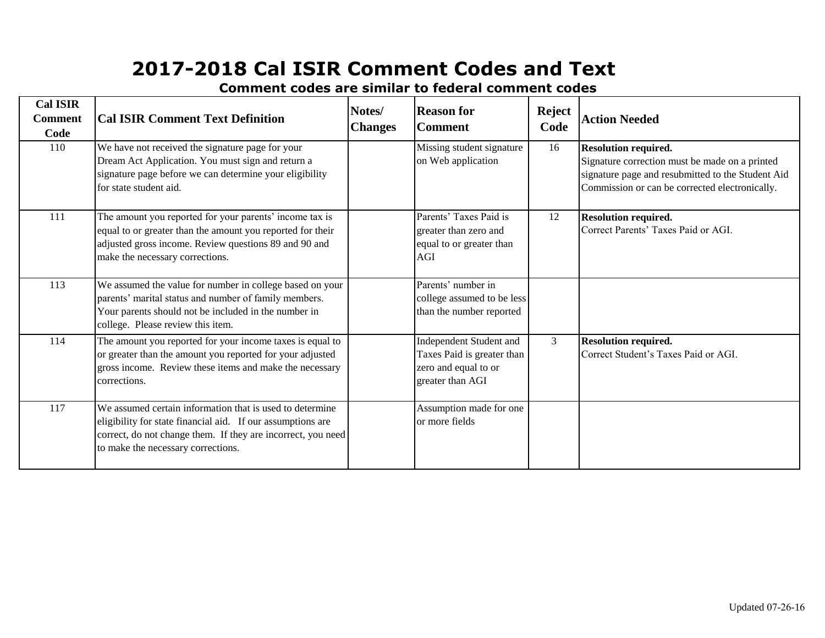| <b>Cal ISIR</b><br><b>Comment</b><br>Code | <b>Cal ISIR Comment Text Definition</b>                                                                                                                                                                                       | Notes/<br><b>Changes</b> | <b>Reason for</b><br><b>Comment</b>                                                               | <b>Reject</b><br>Code | <b>Action Needed</b>                                                                                                                                                                 |
|-------------------------------------------|-------------------------------------------------------------------------------------------------------------------------------------------------------------------------------------------------------------------------------|--------------------------|---------------------------------------------------------------------------------------------------|-----------------------|--------------------------------------------------------------------------------------------------------------------------------------------------------------------------------------|
| 110                                       | We have not received the signature page for your<br>Dream Act Application. You must sign and return a<br>signature page before we can determine your eligibility<br>for state student aid.                                    |                          | Missing student signature<br>on Web application                                                   | 16                    | <b>Resolution required.</b><br>Signature correction must be made on a printed<br>signature page and resubmitted to the Student Aid<br>Commission or can be corrected electronically. |
| 111                                       | The amount you reported for your parents' income tax is<br>equal to or greater than the amount you reported for their<br>adjusted gross income. Review questions 89 and 90 and<br>make the necessary corrections.             |                          | Parents' Taxes Paid is<br>greater than zero and<br>equal to or greater than<br><b>AGI</b>         | 12                    | <b>Resolution required.</b><br>Correct Parents' Taxes Paid or AGI.                                                                                                                   |
| 113                                       | We assumed the value for number in college based on your<br>parents' marital status and number of family members.<br>Your parents should not be included in the number in<br>college. Please review this item.                |                          | Parents' number in<br>college assumed to be less<br>than the number reported                      |                       |                                                                                                                                                                                      |
| 114                                       | The amount you reported for your income taxes is equal to<br>or greater than the amount you reported for your adjusted<br>gross income. Review these items and make the necessary<br>corrections.                             |                          | Independent Student and<br>Taxes Paid is greater than<br>zero and equal to or<br>greater than AGI | $\mathfrak{Z}$        | <b>Resolution required.</b><br>Correct Student's Taxes Paid or AGI.                                                                                                                  |
| 117                                       | We assumed certain information that is used to determine<br>eligibility for state financial aid. If our assumptions are<br>correct, do not change them. If they are incorrect, you need<br>to make the necessary corrections. |                          | Assumption made for one<br>or more fields                                                         |                       |                                                                                                                                                                                      |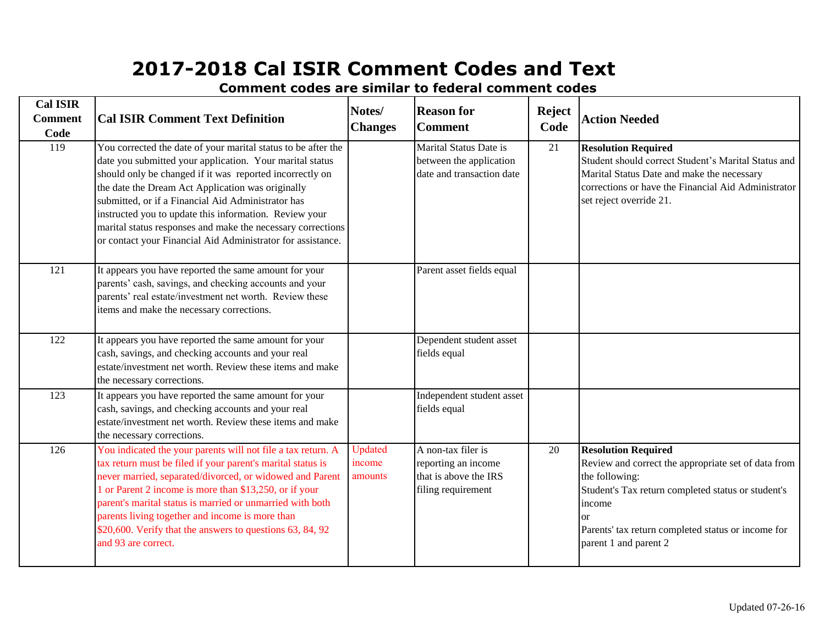| <b>Cal ISIR</b><br><b>Comment</b><br>Code | <b>Cal ISIR Comment Text Definition</b>                                                                                                                                                                                                                                                                                                                                                                                                                                                  | Notes/<br><b>Changes</b>     | <b>Reason for</b><br><b>Comment</b>                                                      | <b>Reject</b><br>Code | <b>Action Needed</b>                                                                                                                                                                                                                                           |
|-------------------------------------------|------------------------------------------------------------------------------------------------------------------------------------------------------------------------------------------------------------------------------------------------------------------------------------------------------------------------------------------------------------------------------------------------------------------------------------------------------------------------------------------|------------------------------|------------------------------------------------------------------------------------------|-----------------------|----------------------------------------------------------------------------------------------------------------------------------------------------------------------------------------------------------------------------------------------------------------|
| 119                                       | You corrected the date of your marital status to be after the<br>date you submitted your application. Your marital status<br>should only be changed if it was reported incorrectly on<br>the date the Dream Act Application was originally<br>submitted, or if a Financial Aid Administrator has<br>instructed you to update this information. Review your<br>marital status responses and make the necessary corrections<br>or contact your Financial Aid Administrator for assistance. |                              | Marital Status Date is<br>between the application<br>date and transaction date           | 21                    | <b>Resolution Required</b><br>Student should correct Student's Marital Status and<br>Marital Status Date and make the necessary<br>corrections or have the Financial Aid Administrator<br>set reject override 21.                                              |
| 121                                       | It appears you have reported the same amount for your<br>parents' cash, savings, and checking accounts and your<br>parents' real estate/investment net worth. Review these<br>items and make the necessary corrections.                                                                                                                                                                                                                                                                  |                              | Parent asset fields equal                                                                |                       |                                                                                                                                                                                                                                                                |
| 122                                       | It appears you have reported the same amount for your<br>cash, savings, and checking accounts and your real<br>estate/investment net worth. Review these items and make<br>the necessary corrections.                                                                                                                                                                                                                                                                                    |                              | Dependent student asset<br>fields equal                                                  |                       |                                                                                                                                                                                                                                                                |
| 123                                       | It appears you have reported the same amount for your<br>cash, savings, and checking accounts and your real<br>estate/investment net worth. Review these items and make<br>the necessary corrections.                                                                                                                                                                                                                                                                                    |                              | Independent student asset<br>fields equal                                                |                       |                                                                                                                                                                                                                                                                |
| 126                                       | You indicated the your parents will not file a tax return. A<br>tax return must be filed if your parent's marital status is<br>never married, separated/divorced, or widowed and Parent<br>1 or Parent 2 income is more than \$13,250, or if your<br>parent's marital status is married or unmarried with both<br>parents living together and income is more than<br>\$20,600. Verify that the answers to questions 63, 84, 92<br>and 93 are correct.                                    | Updated<br>income<br>amounts | A non-tax filer is<br>reporting an income<br>that is above the IRS<br>filing requirement | 20                    | <b>Resolution Required</b><br>Review and correct the appropriate set of data from<br>the following:<br>Student's Tax return completed status or student's<br>income<br>$\alpha$<br>Parents' tax return completed status or income for<br>parent 1 and parent 2 |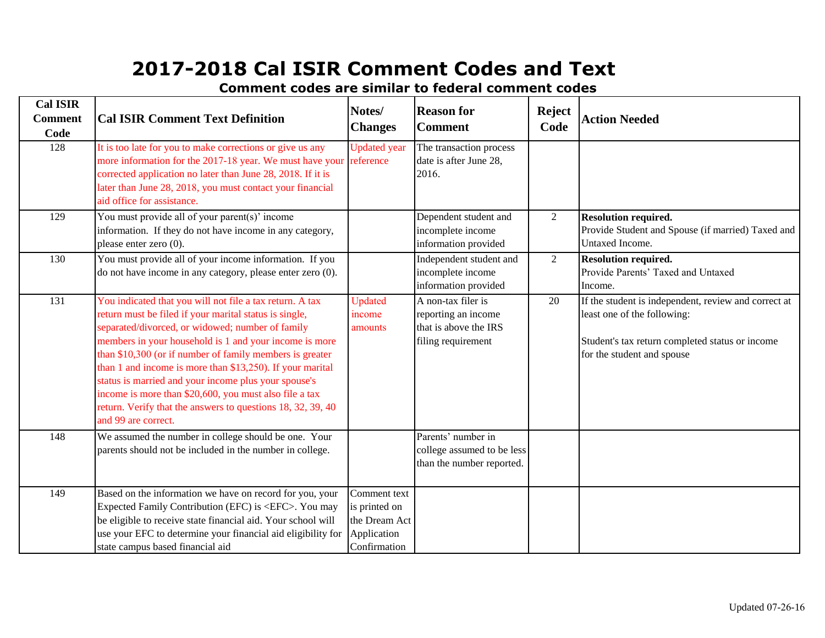| <b>Cal ISIR</b><br><b>Comment</b><br>Code | <b>Cal ISIR Comment Text Definition</b>                                                                                                                                                                                                                                                                                                                                                                                                                                                                                                                           | Notes/<br><b>Changes</b>                                                      | <b>Reason for</b><br><b>Comment</b>                                                      | <b>Reject</b><br>Code | <b>Action Needed</b>                                                                                                                                                 |
|-------------------------------------------|-------------------------------------------------------------------------------------------------------------------------------------------------------------------------------------------------------------------------------------------------------------------------------------------------------------------------------------------------------------------------------------------------------------------------------------------------------------------------------------------------------------------------------------------------------------------|-------------------------------------------------------------------------------|------------------------------------------------------------------------------------------|-----------------------|----------------------------------------------------------------------------------------------------------------------------------------------------------------------|
| 128                                       | It is too late for you to make corrections or give us any<br>more information for the 2017-18 year. We must have your reference<br>corrected application no later than June 28, 2018. If it is<br>later than June 28, 2018, you must contact your financial<br>aid office for assistance.                                                                                                                                                                                                                                                                         | <b>Updated</b> year                                                           | The transaction process<br>date is after June 28,<br>2016.                               |                       |                                                                                                                                                                      |
| 129                                       | You must provide all of your parent(s)' income<br>information. If they do not have income in any category,<br>please enter zero (0).                                                                                                                                                                                                                                                                                                                                                                                                                              |                                                                               | Dependent student and<br>incomplete income<br>information provided                       | 2                     | <b>Resolution required.</b><br>Provide Student and Spouse (if married) Taxed and<br>Untaxed Income.                                                                  |
| 130                                       | You must provide all of your income information. If you<br>do not have income in any category, please enter zero (0).                                                                                                                                                                                                                                                                                                                                                                                                                                             |                                                                               | Independent student and<br>incomplete income<br>information provided                     | $\overline{2}$        | <b>Resolution required.</b><br>Provide Parents' Taxed and Untaxed<br>Income.                                                                                         |
| 131                                       | You indicated that you will not file a tax return. A tax<br>return must be filed if your marital status is single,<br>separated/divorced, or widowed; number of family<br>members in your household is 1 and your income is more<br>than \$10,300 (or if number of family members is greater<br>than 1 and income is more than \$13,250). If your marital<br>status is married and your income plus your spouse's<br>income is more than \$20,600, you must also file a tax<br>return. Verify that the answers to questions 18, 32, 39, 40<br>and 99 are correct. | <b>Updated</b><br>income<br>amounts                                           | A non-tax filer is<br>reporting an income<br>that is above the IRS<br>filing requirement | 20                    | If the student is independent, review and correct at<br>least one of the following:<br>Student's tax return completed status or income<br>for the student and spouse |
| 148                                       | We assumed the number in college should be one. Your<br>parents should not be included in the number in college.                                                                                                                                                                                                                                                                                                                                                                                                                                                  |                                                                               | Parents' number in<br>college assumed to be less<br>than the number reported.            |                       |                                                                                                                                                                      |
| 149                                       | Based on the information we have on record for you, your<br>Expected Family Contribution (EFC) is <efc>. You may<br/>be eligible to receive state financial aid. Your school will<br/>use your EFC to determine your financial aid eligibility for<br/>state campus based financial aid</efc>                                                                                                                                                                                                                                                                     | Comment text<br>is printed on<br>the Dream Act<br>Application<br>Confirmation |                                                                                          |                       |                                                                                                                                                                      |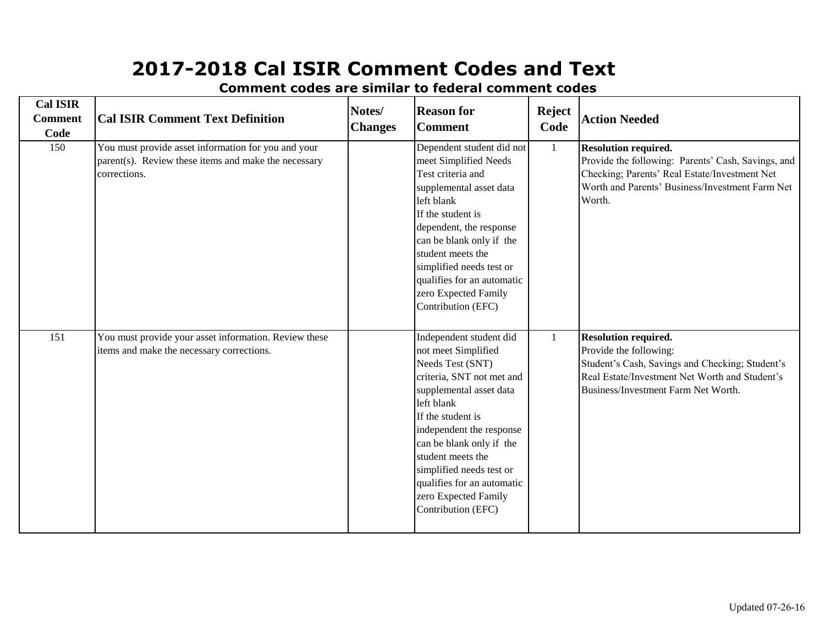| <b>Cal ISIR</b><br><b>Comment</b><br>Code | <b>Cal ISIR Comment Text Definition</b>                                                                                     | Notes/<br><b>Changes</b> | <b>Reason for</b><br><b>Comment</b>                                                                                                                                                                                                                                                                                                                | <b>Reject</b><br>Code | <b>Action Needed</b>                                                                                                                                                                              |
|-------------------------------------------|-----------------------------------------------------------------------------------------------------------------------------|--------------------------|----------------------------------------------------------------------------------------------------------------------------------------------------------------------------------------------------------------------------------------------------------------------------------------------------------------------------------------------------|-----------------------|---------------------------------------------------------------------------------------------------------------------------------------------------------------------------------------------------|
| 150                                       | You must provide asset information for you and your<br>parent(s). Review these items and make the necessary<br>corrections. |                          | Dependent student did not<br>meet Simplified Needs<br>Test criteria and<br>supplemental asset data<br>left blank<br>If the student is<br>dependent, the response<br>can be blank only if the<br>student meets the<br>simplified needs test or<br>qualifies for an automatic<br>zero Expected Family<br>Contribution (EFC)                          | $\mathbf{1}$          | <b>Resolution required.</b><br>Provide the following: Parents' Cash, Savings, and<br>Checking; Parents' Real Estate/Investment Net<br>Worth and Parents' Business/Investment Farm Net<br>Worth.   |
| 151                                       | You must provide your asset information. Review these<br>items and make the necessary corrections.                          |                          | Independent student did<br>not meet Simplified<br>Needs Test (SNT)<br>criteria, SNT not met and<br>supplemental asset data<br>left blank<br>If the student is<br>independent the response<br>can be blank only if the<br>student meets the<br>simplified needs test or<br>qualifies for an automatic<br>zero Expected Family<br>Contribution (EFC) | $\mathbf{1}$          | <b>Resolution required.</b><br>Provide the following:<br>Student's Cash, Savings and Checking; Student's<br>Real Estate/Investment Net Worth and Student's<br>Business/Investment Farm Net Worth. |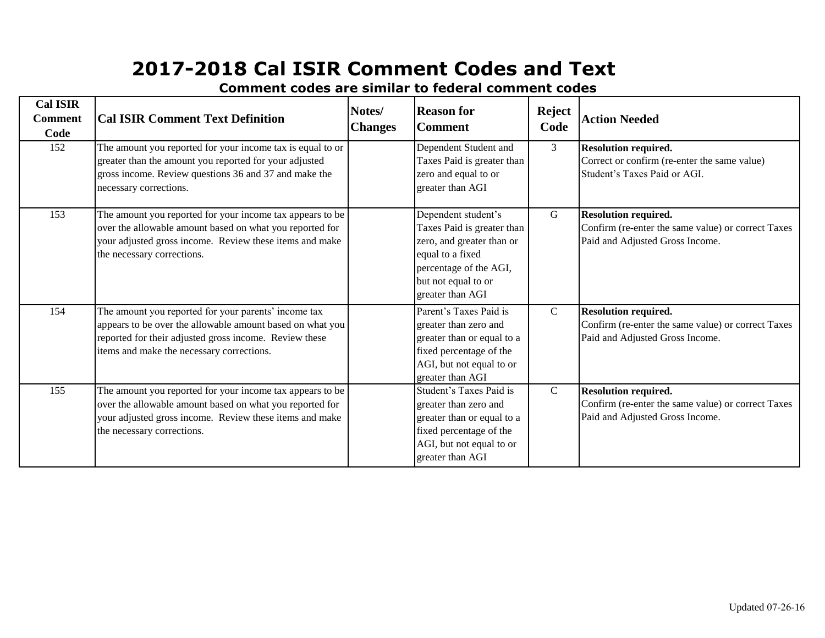| <b>Cal ISIR</b><br><b>Comment</b><br>Code | <b>Cal ISIR Comment Text Definition</b>                                                                                                                                                                                  | Notes/<br><b>Changes</b> | <b>Reason for</b><br><b>Comment</b>                                                                                                                                     | <b>Reject</b><br>Code | <b>Action Needed</b>                                                                                                 |
|-------------------------------------------|--------------------------------------------------------------------------------------------------------------------------------------------------------------------------------------------------------------------------|--------------------------|-------------------------------------------------------------------------------------------------------------------------------------------------------------------------|-----------------------|----------------------------------------------------------------------------------------------------------------------|
| 152                                       | The amount you reported for your income tax is equal to or<br>greater than the amount you reported for your adjusted<br>gross income. Review questions 36 and 37 and make the<br>necessary corrections.                  |                          | Dependent Student and<br>Taxes Paid is greater than<br>zero and equal to or<br>greater than AGI                                                                         | 3                     | <b>Resolution required.</b><br>Correct or confirm (re-enter the same value)<br>Student's Taxes Paid or AGI.          |
| 153                                       | The amount you reported for your income tax appears to be<br>over the allowable amount based on what you reported for<br>your adjusted gross income. Review these items and make<br>the necessary corrections.           |                          | Dependent student's<br>Taxes Paid is greater than<br>zero, and greater than or<br>equal to a fixed<br>percentage of the AGI,<br>but not equal to or<br>greater than AGI | G                     | <b>Resolution required.</b><br>Confirm (re-enter the same value) or correct Taxes<br>Paid and Adjusted Gross Income. |
| 154                                       | The amount you reported for your parents' income tax<br>appears to be over the allowable amount based on what you<br>reported for their adjusted gross income. Review these<br>items and make the necessary corrections. |                          | Parent's Taxes Paid is<br>greater than zero and<br>greater than or equal to a<br>fixed percentage of the<br>AGI, but not equal to or<br>greater than AGI                | $\mathcal{C}$         | <b>Resolution required.</b><br>Confirm (re-enter the same value) or correct Taxes<br>Paid and Adjusted Gross Income. |
| 155                                       | The amount you reported for your income tax appears to be<br>over the allowable amount based on what you reported for<br>your adjusted gross income. Review these items and make<br>the necessary corrections.           |                          | Student's Taxes Paid is<br>greater than zero and<br>greater than or equal to a<br>fixed percentage of the<br>AGI, but not equal to or<br>greater than AGI               | $\mathbf C$           | <b>Resolution required.</b><br>Confirm (re-enter the same value) or correct Taxes<br>Paid and Adjusted Gross Income. |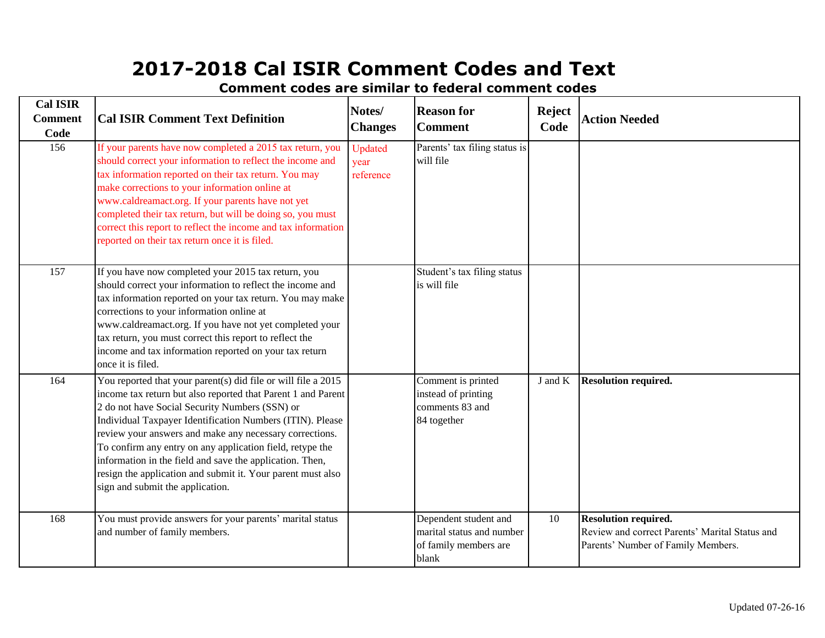**Cal ISIR Comment Code Notes/ Changes Reason for Comment Reject Code Action Needed** 156 [If your p](http://www.fafsa.gov/)arents have now completed a 2015 tax return, you Updated Parents' tax filing status is will file 157 [If you ha](http://www.fafsa.gov/)ve now completed your 2015 tax return, you Student's tax filing status is will file 164 You reported that your parent(s) did file or will file a 2015 Comment is printed instead of printing comments 83 and 84 together J and K **Resolution required.** 168 Dependent student and You must provide answers for your parents' marital status marital status and number of family members are blank 10 **Resolution required.** Review and correct Parents' Marital Status and Parents' Number of Family Members. **Cal ISIR Comment Text Definition** income tax return but also reported that Parent 1 and Parent 2 do not have Social Security Numbers (SSN) or Individual Taxpayer Identification Numbers (ITIN). Please review your answers and make any necessary corrections. To confirm any entry on any application field, retype the information in the field and save the application. Then, resign the application and submit it. Your parent must also sign and submit the application. and number of family members. [should co](http://www.fafsa.gov/)rrect your information to reflect the income and [tax inform](http://www.fafsa.gov/)ation reported on your tax return. You may make [correctio](http://www.fafsa.gov/)ns to your information online at [www.cal](http://www.fafsa.gov/)dreamact.org. If you have not yet completed your [tax return](http://www.fafsa.gov/), you must correct this report to reflect the [income a](http://www.fafsa.gov/)nd tax information reported on your tax return [once](http://www.fafsa.gov/) it is filed. [should co](http://www.fafsa.gov/)rrect your information to reflect the income and [tax inform](http://www.fafsa.gov/)ation reported on their tax return. You may [make cor](http://www.fafsa.gov/)rections to your information online at [www.cal](http://www.fafsa.gov/)dreamact.org. If your parents have not yet [complete](http://www.fafsa.gov/)d their tax return, but will be doing so, you must [correct th](http://www.fafsa.gov/)is report to reflect the income and tax information [reported](http://www.fafsa.gov/) on their tax return once it is filed. Updated year reference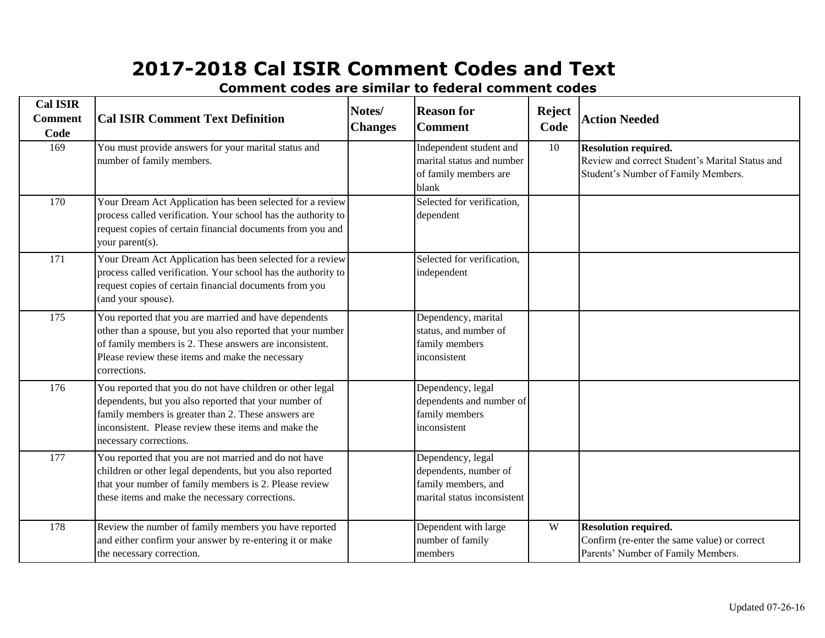| <b>Cal ISIR</b><br><b>Comment</b><br>Code | <b>Cal ISIR Comment Text Definition</b>                                                                                                                                                                                                                     | Notes/<br><b>Changes</b> | <b>Reason for</b><br><b>Comment</b>                                                              | <b>Reject</b><br>Code | <b>Action Needed</b>                                                                                                  |
|-------------------------------------------|-------------------------------------------------------------------------------------------------------------------------------------------------------------------------------------------------------------------------------------------------------------|--------------------------|--------------------------------------------------------------------------------------------------|-----------------------|-----------------------------------------------------------------------------------------------------------------------|
| 169                                       | You must provide answers for your marital status and<br>number of family members.                                                                                                                                                                           |                          | Independent student and<br>marital status and number<br>of family members are<br>blank           | 10                    | <b>Resolution required.</b><br>Review and correct Student's Marital Status and<br>Student's Number of Family Members. |
| 170                                       | Your Dream Act Application has been selected for a review<br>process called verification. Your school has the authority to<br>request copies of certain financial documents from you and<br>your parent(s).                                                 |                          | Selected for verification,<br>dependent                                                          |                       |                                                                                                                       |
| 171                                       | Your Dream Act Application has been selected for a review<br>process called verification. Your school has the authority to<br>request copies of certain financial documents from you<br>(and your spouse).                                                  |                          | Selected for verification,<br>independent                                                        |                       |                                                                                                                       |
| 175                                       | You reported that you are married and have dependents<br>other than a spouse, but you also reported that your number<br>of family members is 2. These answers are inconsistent.<br>Please review these items and make the necessary<br>corrections.         |                          | Dependency, marital<br>status, and number of<br>family members<br>inconsistent                   |                       |                                                                                                                       |
| 176                                       | You reported that you do not have children or other legal<br>dependents, but you also reported that your number of<br>family members is greater than 2. These answers are<br>inconsistent. Please review these items and make the<br>necessary corrections. |                          | Dependency, legal<br>dependents and number of<br>family members<br>inconsistent                  |                       |                                                                                                                       |
| 177                                       | You reported that you are not married and do not have<br>children or other legal dependents, but you also reported<br>that your number of family members is 2. Please review<br>these items and make the necessary corrections.                             |                          | Dependency, legal<br>dependents, number of<br>family members, and<br>marital status inconsistent |                       |                                                                                                                       |
| 178                                       | Review the number of family members you have reported<br>and either confirm your answer by re-entering it or make<br>the necessary correction.                                                                                                              |                          | Dependent with large<br>number of family<br>members                                              | W                     | <b>Resolution required.</b><br>Confirm (re-enter the same value) or correct<br>Parents' Number of Family Members.     |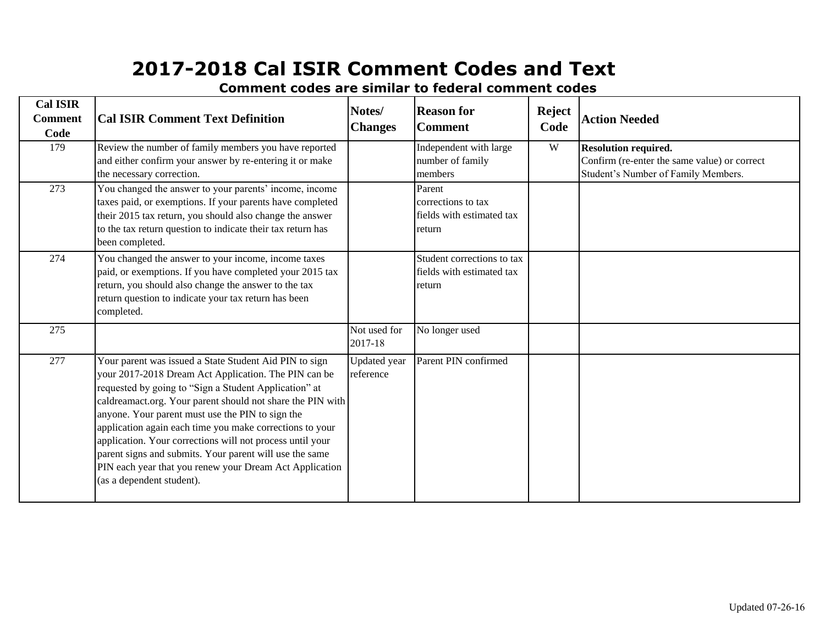| <b>Cal ISIR</b><br><b>Comment</b><br>Code | <b>Cal ISIR Comment Text Definition</b>                                                                                                                                                                                                                                                                                                                                                                                                                                                                                                                               | Notes/<br><b>Changes</b>  | <b>Reason for</b><br><b>Comment</b>                                 | <b>Reject</b><br>Code | <b>Action Needed</b>                                                                                               |
|-------------------------------------------|-----------------------------------------------------------------------------------------------------------------------------------------------------------------------------------------------------------------------------------------------------------------------------------------------------------------------------------------------------------------------------------------------------------------------------------------------------------------------------------------------------------------------------------------------------------------------|---------------------------|---------------------------------------------------------------------|-----------------------|--------------------------------------------------------------------------------------------------------------------|
| 179                                       | Review the number of family members you have reported<br>and either confirm your answer by re-entering it or make<br>the necessary correction.                                                                                                                                                                                                                                                                                                                                                                                                                        |                           | Independent with large<br>number of family<br>members               | W                     | <b>Resolution required.</b><br>Confirm (re-enter the same value) or correct<br>Student's Number of Family Members. |
| 273                                       | You changed the answer to your parents' income, income<br>taxes paid, or exemptions. If your parents have completed<br>their 2015 tax return, you should also change the answer<br>to the tax return question to indicate their tax return has<br>been completed.                                                                                                                                                                                                                                                                                                     |                           | Parent<br>corrections to tax<br>fields with estimated tax<br>return |                       |                                                                                                                    |
| 274                                       | You changed the answer to your income, income taxes<br>paid, or exemptions. If you have completed your 2015 tax<br>return, you should also change the answer to the tax<br>return question to indicate your tax return has been<br>completed.                                                                                                                                                                                                                                                                                                                         |                           | Student corrections to tax<br>fields with estimated tax<br>return   |                       |                                                                                                                    |
| 275                                       |                                                                                                                                                                                                                                                                                                                                                                                                                                                                                                                                                                       | Not used for<br>2017-18   | No longer used                                                      |                       |                                                                                                                    |
| 277                                       | Your parent was issued a State Student Aid PIN to sign<br>your 2017-2018 Dream Act Application. The PIN can be<br>requested by going to "Sign a Student Application" at<br>caldreamact.org. Your parent should not share the PIN with<br>anyone. Your parent must use the PIN to sign the<br>application again each time you make corrections to your<br>application. Your corrections will not process until your<br>parent signs and submits. Your parent will use the same<br>PIN each year that you renew your Dream Act Application<br>(as a dependent student). | Updated year<br>reference | Parent PIN confirmed                                                |                       |                                                                                                                    |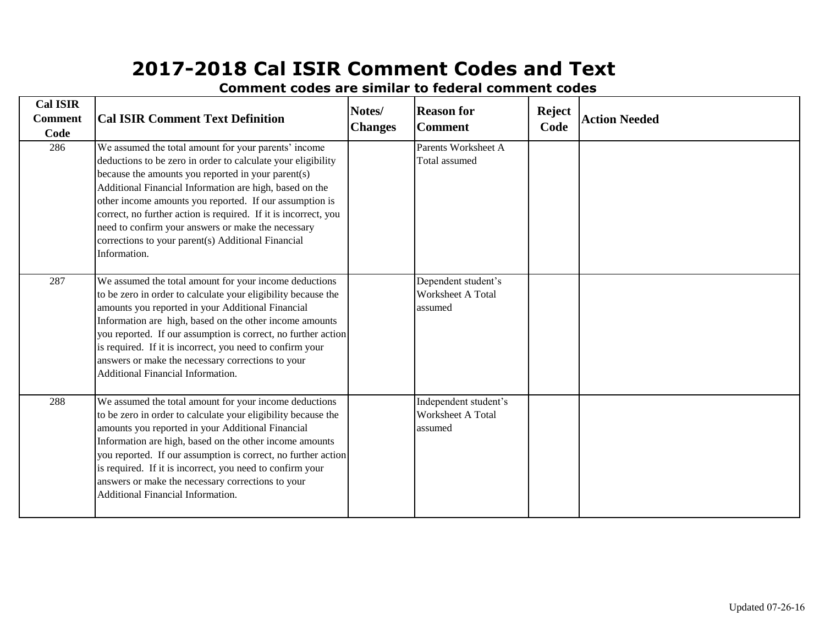| <b>Cal ISIR</b>        |                                                                                                                                                                                                                                                                                                                                                                                                                                                                                                 | Notes/         | <b>Reason for</b>                                     | <b>Reject</b><br>Code | <b>Action Needed</b> |
|------------------------|-------------------------------------------------------------------------------------------------------------------------------------------------------------------------------------------------------------------------------------------------------------------------------------------------------------------------------------------------------------------------------------------------------------------------------------------------------------------------------------------------|----------------|-------------------------------------------------------|-----------------------|----------------------|
| <b>Comment</b><br>Code | <b>Cal ISIR Comment Text Definition</b>                                                                                                                                                                                                                                                                                                                                                                                                                                                         | <b>Changes</b> | <b>Comment</b>                                        |                       |                      |
| 286                    | We assumed the total amount for your parents' income<br>deductions to be zero in order to calculate your eligibility<br>because the amounts you reported in your parent(s)<br>Additional Financial Information are high, based on the<br>other income amounts you reported. If our assumption is<br>correct, no further action is required. If it is incorrect, you<br>need to confirm your answers or make the necessary<br>corrections to your parent(s) Additional Financial<br>Information. |                | Parents Worksheet A<br>Total assumed                  |                       |                      |
| 287                    | We assumed the total amount for your income deductions<br>to be zero in order to calculate your eligibility because the<br>amounts you reported in your Additional Financial<br>Information are high, based on the other income amounts<br>you reported. If our assumption is correct, no further action<br>is required. If it is incorrect, you need to confirm your<br>answers or make the necessary corrections to your<br>Additional Financial Information.                                 |                | Dependent student's<br>Worksheet A Total<br>assumed   |                       |                      |
| 288                    | We assumed the total amount for your income deductions<br>to be zero in order to calculate your eligibility because the<br>amounts you reported in your Additional Financial<br>Information are high, based on the other income amounts<br>you reported. If our assumption is correct, no further action<br>is required. If it is incorrect, you need to confirm your<br>answers or make the necessary corrections to your<br>Additional Financial Information.                                 |                | Independent student's<br>Worksheet A Total<br>assumed |                       |                      |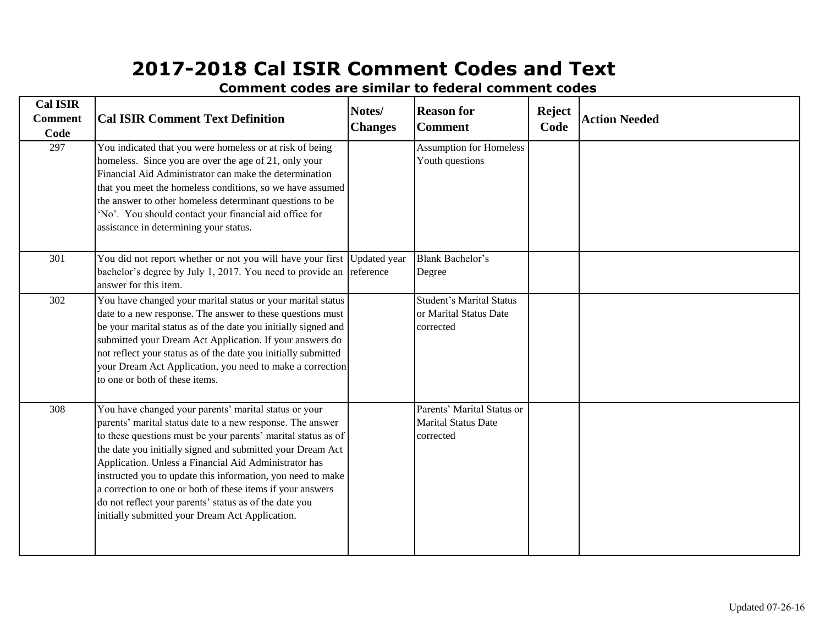| <b>Cal ISIR</b><br><b>Comment</b><br>Code | <b>Cal ISIR Comment Text Definition</b>                                                                                                                                                                                                                                                                                                                                                                                                                                                                                                               | Notes/<br><b>Changes</b>  | <b>Reason for</b><br><b>Comment</b>                                    | <b>Reject</b><br>Code | <b>Action Needed</b> |
|-------------------------------------------|-------------------------------------------------------------------------------------------------------------------------------------------------------------------------------------------------------------------------------------------------------------------------------------------------------------------------------------------------------------------------------------------------------------------------------------------------------------------------------------------------------------------------------------------------------|---------------------------|------------------------------------------------------------------------|-----------------------|----------------------|
| 297                                       | You indicated that you were homeless or at risk of being<br>homeless. Since you are over the age of 21, only your<br>Financial Aid Administrator can make the determination<br>that you meet the homeless conditions, so we have assumed<br>the answer to other homeless determinant questions to be<br>'No'. You should contact your financial aid office for<br>assistance in determining your status.                                                                                                                                              |                           | <b>Assumption for Homeless</b><br>Youth questions                      |                       |                      |
| 301                                       | You did not report whether or not you will have your first<br>bachelor's degree by July 1, 2017. You need to provide an<br>answer for this item.                                                                                                                                                                                                                                                                                                                                                                                                      | Updated year<br>reference | <b>Blank Bachelor's</b><br>Degree                                      |                       |                      |
| 302                                       | You have changed your marital status or your marital status<br>date to a new response. The answer to these questions must<br>be your marital status as of the date you initially signed and<br>submitted your Dream Act Application. If your answers do<br>not reflect your status as of the date you initially submitted<br>your Dream Act Application, you need to make a correction<br>to one or both of these items.                                                                                                                              |                           | <b>Student's Marital Status</b><br>or Marital Status Date<br>corrected |                       |                      |
| 308                                       | You have changed your parents' marital status or your<br>parents' marital status date to a new response. The answer<br>to these questions must be your parents' marital status as of<br>the date you initially signed and submitted your Dream Act<br>Application. Unless a Financial Aid Administrator has<br>instructed you to update this information, you need to make<br>a correction to one or both of these items if your answers<br>do not reflect your parents' status as of the date you<br>initially submitted your Dream Act Application. |                           | Parents' Marital Status or<br><b>Marital Status Date</b><br>corrected  |                       |                      |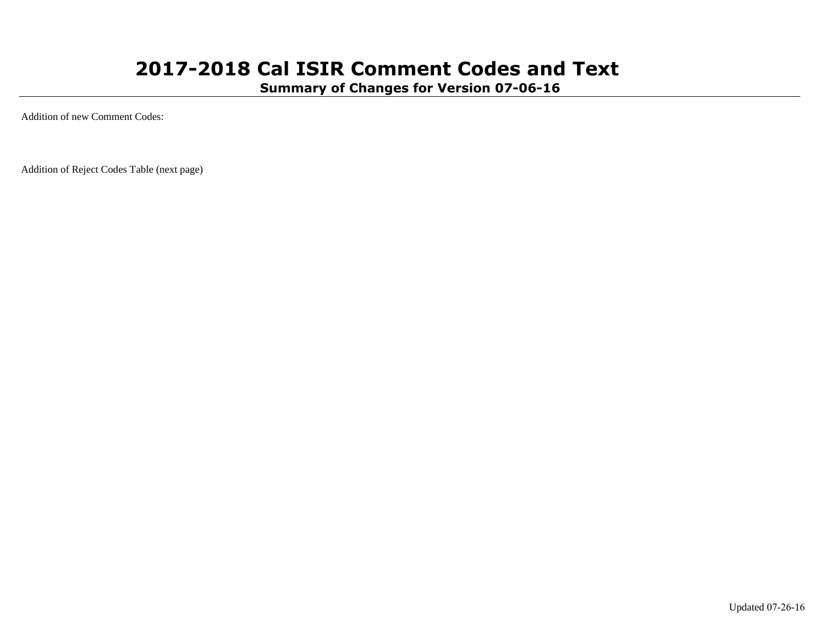**Summary of Changes for Version 07-06-16**

Addition of new Comment Codes:

Addition of Reject Codes Table (next page)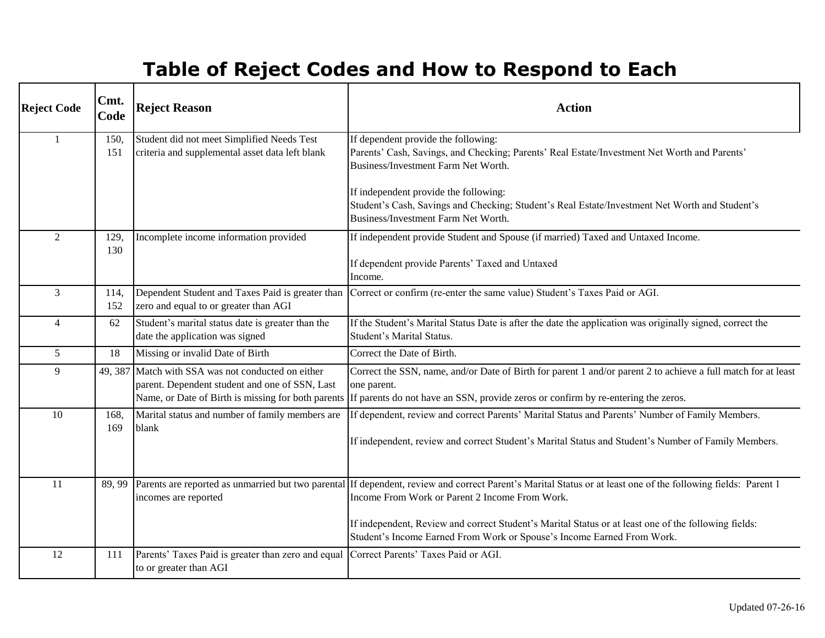# **Table of Reject Codes and How to Respond to Each**

| <b>Reject Code</b> | Cmt.<br>Code | <b>Reject Reason</b>                                                                                                                                       | <b>Action</b>                                                                                                                                                                                                                                                                                                                                                                                     |
|--------------------|--------------|------------------------------------------------------------------------------------------------------------------------------------------------------------|---------------------------------------------------------------------------------------------------------------------------------------------------------------------------------------------------------------------------------------------------------------------------------------------------------------------------------------------------------------------------------------------------|
| $\mathbf{1}$       | 150,<br>151  | Student did not meet Simplified Needs Test<br>criteria and supplemental asset data left blank                                                              | If dependent provide the following:<br>Parents' Cash, Savings, and Checking; Parents' Real Estate/Investment Net Worth and Parents'<br>Business/Investment Farm Net Worth.                                                                                                                                                                                                                        |
|                    |              |                                                                                                                                                            | If independent provide the following:<br>Student's Cash, Savings and Checking; Student's Real Estate/Investment Net Worth and Student's<br>Business/Investment Farm Net Worth.                                                                                                                                                                                                                    |
| $\overline{2}$     | 129,<br>130  | Incomplete income information provided                                                                                                                     | If independent provide Student and Spouse (if married) Taxed and Untaxed Income.<br>If dependent provide Parents' Taxed and Untaxed<br>Income.                                                                                                                                                                                                                                                    |
| 3                  | 114,<br>152  | Dependent Student and Taxes Paid is greater than<br>zero and equal to or greater than AGI                                                                  | Correct or confirm (re-enter the same value) Student's Taxes Paid or AGI.                                                                                                                                                                                                                                                                                                                         |
| $\overline{4}$     | 62           | Student's marital status date is greater than the<br>date the application was signed                                                                       | If the Student's Marital Status Date is after the date the application was originally signed, correct the<br>Student's Marital Status.                                                                                                                                                                                                                                                            |
| 5                  | 18           | Missing or invalid Date of Birth                                                                                                                           | Correct the Date of Birth.                                                                                                                                                                                                                                                                                                                                                                        |
| 9                  |              | 49, 387 Match with SSA was not conducted on either<br>parent. Dependent student and one of SSN, Last<br>Name, or Date of Birth is missing for both parents | Correct the SSN, name, and/or Date of Birth for parent 1 and/or parent 2 to achieve a full match for at least<br>one parent.<br>If parents do not have an SSN, provide zeros or confirm by re-entering the zeros.                                                                                                                                                                                 |
| 10                 | 168.<br>169  | Marital status and number of family members are<br>blank                                                                                                   | If dependent, review and correct Parents' Marital Status and Parents' Number of Family Members.<br>If independent, review and correct Student's Marital Status and Student's Number of Family Members.                                                                                                                                                                                            |
| 11                 | 89, 99       | incomes are reported                                                                                                                                       | Parents are reported as unmarried but two parental If dependent, review and correct Parent's Marital Status or at least one of the following fields: Parent 1<br>Income From Work or Parent 2 Income From Work.<br>If independent, Review and correct Student's Marital Status or at least one of the following fields:<br>Student's Income Earned From Work or Spouse's Income Earned From Work. |
| 12                 | 111          | Parents' Taxes Paid is greater than zero and equal Correct Parents' Taxes Paid or AGI.<br>to or greater than AGI                                           |                                                                                                                                                                                                                                                                                                                                                                                                   |